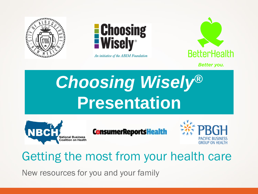



An initiative of the ABIM Foundation



**Better you.** 

# *Choosing Wisely®* **Presentation**



**ConsumerReportsHealth** 



# Getting the most from your health care

New resources for you and your family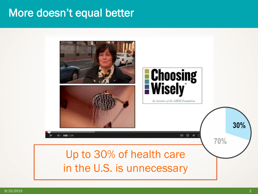#### More doesn't equal better

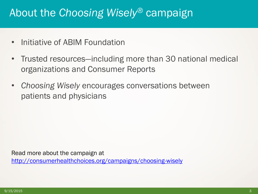## About the *Choosing Wisely®* campaign

- Initiative of ABIM Foundation
- Trusted resources—including more than 30 national medical organizations and Consumer Reports
- *Choosing Wisely* encourages conversations between patients and physicians

Read more about the campaign at

<http://consumerhealthchoices.org/campaigns/choosing-wisely>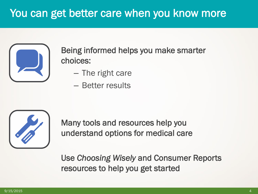# You can get better care when you know more



Being informed helps you make smarter choices:

- The right care
- Better results



Many tools and resources help you understand options for medical care

Use *Choosing Wisely* and Consumer Reports resources to help you get started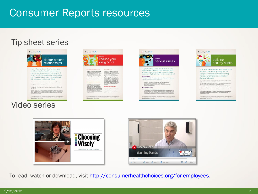#### Consumer Reports resources

#### Tip sheet series



procedures when they shouldn't-sometimes even when they know they shouldn't. In fact, nearly half of primary-care physicians say their own patients get too much medical care, according to a survey published in 2011 by researchers at Dartmouth College.

#### Video series





For people with serious long-term illnesses, navigati America's health-care system can be daunting. Here's what patients and family members can do to increase the chances of getting the best, most humane treatment



from hip and knee replacements to high bloor pressure, there are always things you can change in your day-to-day life that can help alleviate your ailments or even help them disappear altogether.





To read, watch or download, visit [http://consumerhealthchoices.org/for-employees.](http://consumerhealthchoices.org/for-employees)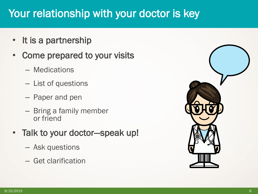# Your relationship with your doctor is key

- It is a partnership
- Come prepared to your visits
	- Medications
	- List of questions
	- Paper and pen
	- Bring a family member or friend
- Talk to your doctor—speak up!
	- Ask questions
	- Get clarification

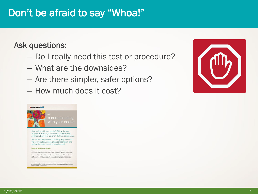#### Don't be afraid to say "Whoa!"

#### Ask questions:

- Do I really need this test or procedure?
- What are the downsides?
- Are there simpler, safer options?
- How much does it cost?



ei are, that's exactly what's happening. Studies suggest that a dioclor will often start forming<br>oss within the first 30 seconds of hearing your complaint—and before he or she hears all<br>is. Worse, a doctor often sticks wit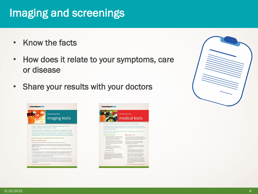# Imaging and screenings

- Know the facts
- How does it relate to your symptoms, care or disease
- Share your results with your doctors





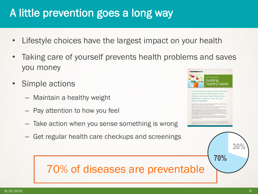# A little prevention goes a long way

- Lifestyle choices have the largest impact on your health
- Taking care of yourself prevents health problems and saves you money
- Simple actions
	- Maintain a healthy weight
	- Pay attention to how you feel
	- Take action when you sense something is wrong
	- Get regular health care checkups and screenings



**70%** 

**30%** 

# 70% of diseases are preventable